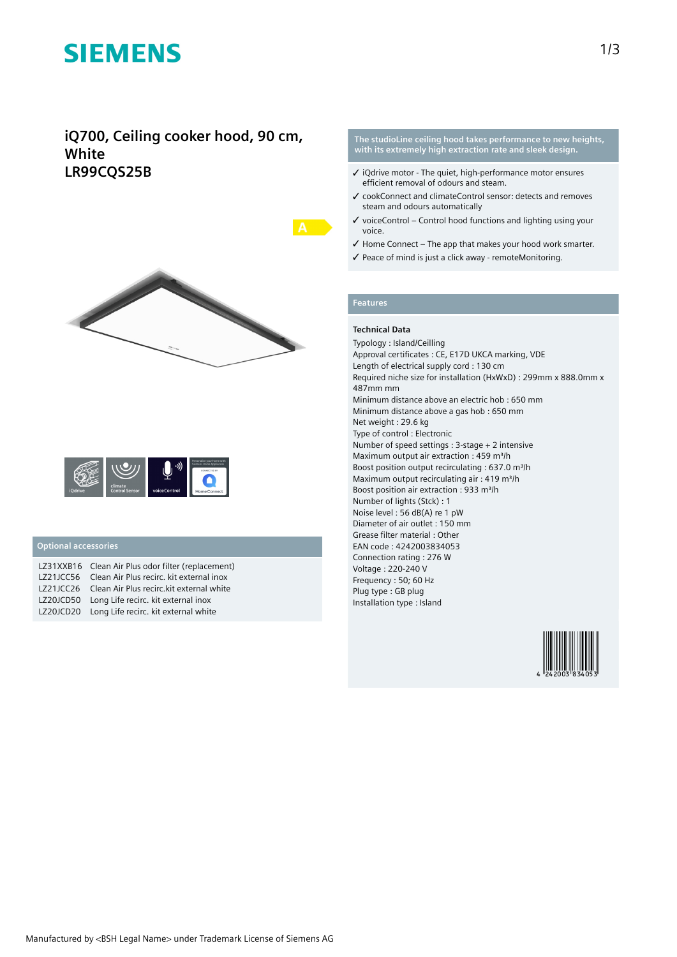## **SIEMENS**

### **iQ700, Ceiling cooker hood, 90 cm, White LR99CQS25B**





#### **Optional accessories**

| LZ31XXB16 Clean Air Plus odor filter (replacement) |
|----------------------------------------------------|
| LZ21JCC56 Clean Air Plus recirc. kit external inox |
| LZ21JCC26 Clean Air Plus recirc.kit external white |
| LZ20JCD50 Long Life recirc. kit external inox      |
| LZ20JCD20 Long Life recirc. kit external white     |

#### **The studioLine ceiling hood takes performance to new heights, with its extremely high extraction rate and sleek design.**

- ✓ iQdrive motor The quiet, high-performance motor ensures efficient removal of odours and steam.
- ✓ cookConnect and climateControl sensor: detects and removes steam and odours automatically
- $\checkmark$  voiceControl Control hood functions and lighting using your voice.
- $\checkmark$  Home Connect The app that makes your hood work smarter.
- ✓ Peace of mind is just a click away remoteMonitoring.

#### **Features**

#### **Technical Data**

Typology : Island/Ceilling Approval certificates : CE, E17D UKCA marking, VDE Length of electrical supply cord : 130 cm Required niche size for installation (HxWxD) : 299mm x 888.0mm x 487mm mm Minimum distance above an electric hob : 650 mm Minimum distance above a gas hob : 650 mm Net weight : 29.6 kg Type of control : Electronic Number of speed settings : 3-stage + 2 intensive Maximum output air extraction : 459 m<sup>3</sup>/h Boost position output recirculating : 637.0 m<sup>3</sup>/h Maximum output recirculating air : 419 m<sup>3</sup>/h Boost position air extraction : 933 m<sup>3</sup>/h Number of lights (Stck) : 1 Noise level : 56 dB(A) re 1 pW Diameter of air outlet : 150 mm Grease filter material : Other EAN code : 4242003834053 Connection rating : 276 W Voltage : 220-240 V Frequency : 50; 60 Hz Plug type : GB plug Installation type : Island

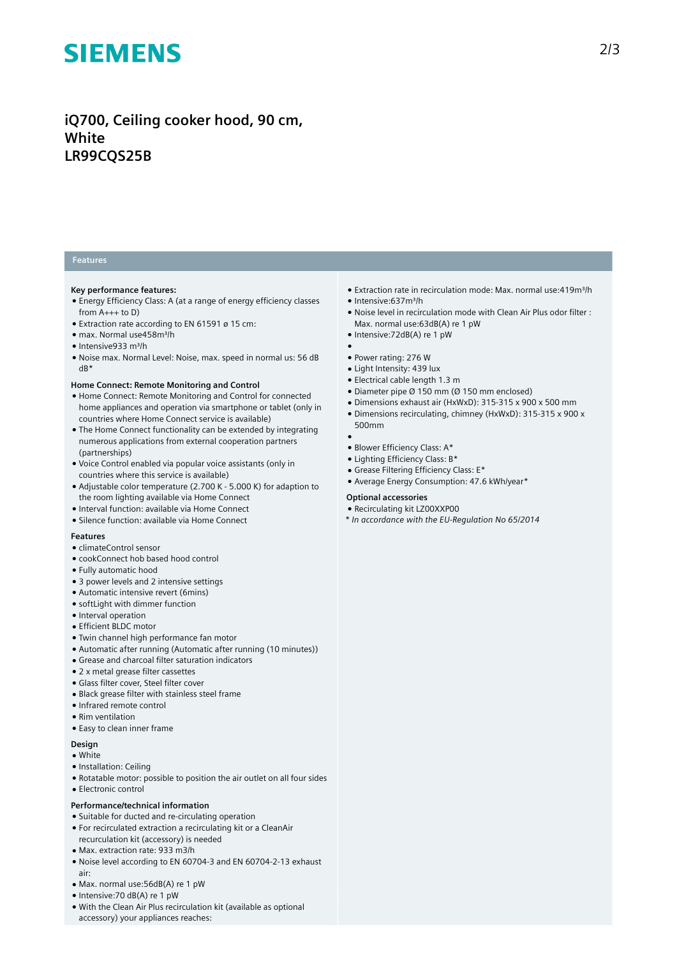# **SIEMENS**

### **iQ700, Ceiling cooker hood, 90 cm, White LR99CQS25B**

#### **Features**

#### **Key performance features:**

- Energy Efficiency Class: A (at a range of energy efficiency classes from  $A_{+++}$  to D)
- Extraction rate according to EN 61591 ø 15 cm:
- max. Normal use458m³/h
- Intensive933 m³/h
- Noise max. Normal Level: Noise, max. speed in normal us: 56 dB dB\*

#### **Home Connect: Remote Monitoring and Control**

- Home Connect: Remote Monitoring and Control for connected home appliances and operation via smartphone or tablet (only in countries where Home Connect service is available)
- The Home Connect functionality can be extended by integrating numerous applications from external cooperation partners (partnerships)
- Voice Control enabled via popular voice assistants (only in countries where this service is available)
- Adjustable color temperature (2.700 K 5.000 K) for adaption to the room lighting available via Home Connect
- Interval function: available via Home Connect
- Silence function: available via Home Connect

#### **Features**

- climateControl sensor
- cookConnect hob based hood control
- Fully automatic hood
- 3 power levels and 2 intensive settings
- Automatic intensive revert (6mins)
- softLight with dimmer function
- Interval operation
- Efficient BLDC motor
- Twin channel high performance fan motor
- Automatic after running (Automatic after running (10 minutes))
- Grease and charcoal filter saturation indicators
- 2 x metal grease filter cassettes
- Glass filter cover, Steel filter cover
- Black grease filter with stainless steel frame
- Infrared remote control
- Rim ventilation
- Easy to clean inner frame

#### **Design**

- White
- Installation: Ceiling
- Rotatable motor: possible to position the air outlet on all four sides
- Electronic control

#### **Performance/technical information**

- Suitable for ducted and re-circulating operation
- For recirculated extraction a recirculating kit or a CleanAir
- recurculation kit (accessory) is needed
- Max. extraction rate: 933 m3/h
- Noise level according to EN 60704-3 and EN 60704-2-13 exhaust air:
- Max. normal use:56dB(A) re 1 pW
- Intensive:70 dB(A) re 1 pW
- With the Clean Air Plus recirculation kit (available as optional accessory) your appliances reaches:
- Extraction rate in recirculation mode: Max. normal use:419m³/h
- Intensive:637m³/h
- Noise level in recirculation mode with Clean Air Plus odor filter : Max. normal use:63dB(A) re 1 pW
- Intensive:72dB(A) re 1 pW
- ● Power rating: 276 W
- Light Intensity: 439 lux
- Electrical cable length 1.3 m
- Diameter pipe Ø 150 mm (Ø 150 mm enclosed)
- Dimensions exhaust air (HxWxD): 315-315 x 900 x 500 mm
- Dimensions recirculating, chimney (HxWxD): 315-315 x 900 x 500mm
- ●
- Blower Efficiency Class: A\*
- Lighting Efficiency Class: B\* ● Grease Filtering Efficiency Class: E\*
- 
- Average Energy Consumption: 47.6 kWh/year\*

#### **Optional accessories**

- Recirculating kit LZ00XXP00
- *\* In accordance with the EU-Regulation No 65/2014*